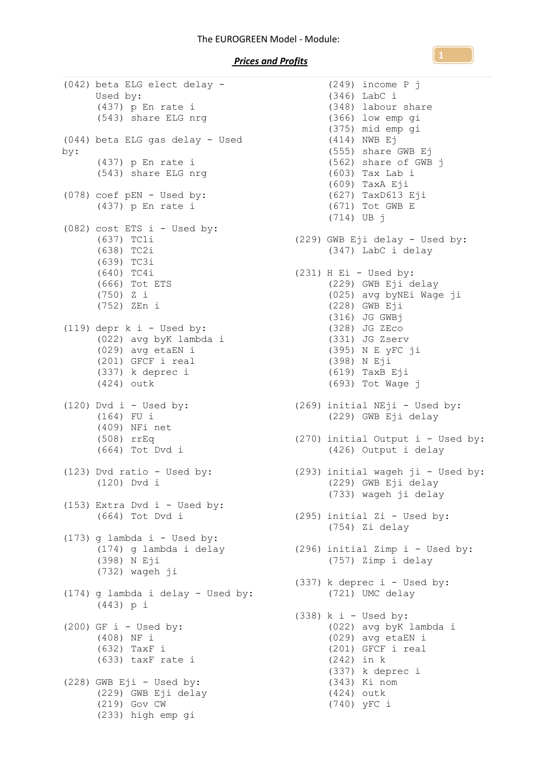## The EUROGREEN Model - Module:

## *Prices and Profits*

(042) beta ELG elect delay - Used by: (437) p En rate i (543) share ELG nrg (044) beta ELG gas delay - Used by: (437) p En rate i (543) share ELG nrg (078) coef pEN - Used by: (437) p En rate i (082) cost ETS i - Used by: (637) TC1i  $(638)$  TC2i (639) TC3i (640) TC4i (666) Tot ETS (750) Z i (752) ZEn i  $(119)$  depr k i - Used by: (022) avg byK lambda i (029) avg etaEN i (201) GFCF i real (337) k deprec i (424) outk  $(120)$  Dvd i - Used by: (164) FU i (409) NFi net (508) rrEq (664) Tot Dvd i (123) Dvd ratio - Used by: (293) initial wageh ji - Used by: (120) Dvd i (153) Extra Dvd i - Used by: (664) Tot Dvd i  $(173)$  g lambda i - Used by: (398) N Eji (732) wageh ji (174) g lambda i delay - Used by: (443) p i  $(200)$  GF i - Used by: (408) NF i (632) TaxF i (633) taxF rate i (228) GWB Eji - Used by: (229) GWB Eji delay (219) Gov CW (233) high emp gi

(174) g lambda i delay (296) initial Zimp i - Used by: (249) income P j (346) LabC i (348) labour share (366) low emp gi (375) mid emp gi (414) NWB Ej (555) share GWB Ej (562) share of GWB j (603) Tax Lab i (609) TaxA Eji (627) TaxD613 Eji (671) Tot GWB E (714) UB j (229) GWB Eji delay - Used by: (347) LabC i delay (231) H Ei - Used by: (229) GWB Eji delay (025) avg byNEi Wage ji (228) GWB Eji (316) JG GWBj (328) JG ZEco (331) JG Zserv (395) N E yFC ji (398) N Eji (619) TaxB Eji (693) Tot Wage j (269) initial NEji - Used by: (229) GWB Eji delay (270) initial Output i - Used by: (426) Output i delay (229) GWB Eji delay (733) wageh ji delay (295) initial Zi - Used by: (754) Zi delay (757) Zimp i delay  $(337)$  k deprec i - Used by: (721) UMC delay  $(338)$  k i - Used by: (022) avg byK lambda i (029) avg etaEN i (201) GFCF i real (242) in k (337) k deprec i (343) Ki nom (424) outk (740) yFC i

**1**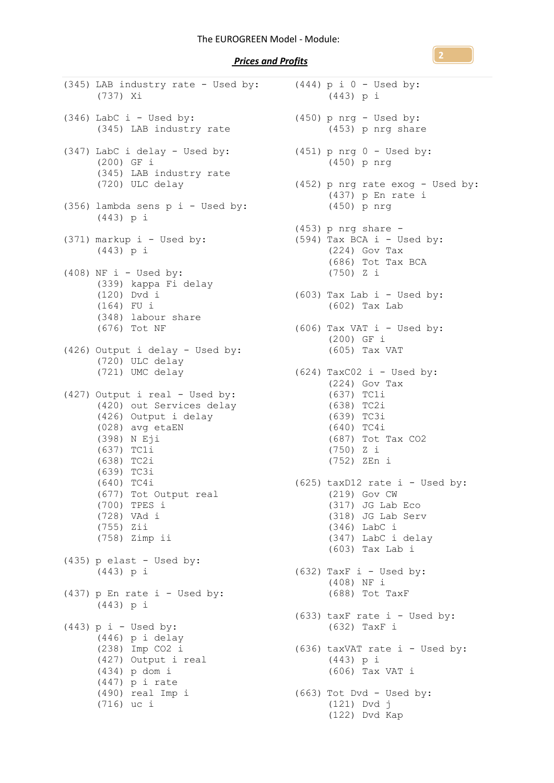*Prices and Profits* 

| (345) LAB industry rate - Used by:<br>(737) Xi                                                                                                                                                                                                                       |
|----------------------------------------------------------------------------------------------------------------------------------------------------------------------------------------------------------------------------------------------------------------------|
| $(346)$ LabC i - Used by:<br>(345) LAB industry rate                                                                                                                                                                                                                 |
| (347) LabC i delay - Used by:<br>(200) GF i<br>(345) LAB industry rate<br>(720) ULC delay                                                                                                                                                                            |
| (356) lambda sens p i - Used by:<br>(443) p i                                                                                                                                                                                                                        |
| (371) markup i - Used by:<br>(443) p i                                                                                                                                                                                                                               |
| $(408)$ NF i - Used by:<br>(339) kappa Fi delay<br>$(120)$ Dvd i<br>$(164)$ FU i<br>(348) labour share<br>(676) Tot NF                                                                                                                                               |
| (426) Output i delay - Used by:<br>(720) ULC delay<br>(721) UMC delay                                                                                                                                                                                                |
| (427) Output i real - Used by:<br>(420) out Services delay<br>(426) Output i delay<br>(028) avg etaEN<br>(398) N Eji<br>(637) TC1i<br>(638) TC2i<br>(639) TC3i<br>(640) TC4i<br>(677) Tot Output real<br>$(700)$ TPES i<br>(728) VAd i<br>(755) Zii<br>(758) Zimp ii |
| $(435)$ p elast - Used by:<br>$(443)$ p i                                                                                                                                                                                                                            |
| $(437)$ p En rate i - Used by:<br>(443) p i                                                                                                                                                                                                                          |
| $(443)$ p i - Used by:<br>$(446)$ p i delay<br>$(238)$ Imp CO2 i<br>(427) Output i real<br>$(434)$ p dom i<br>$(447)$ p i rate<br>(490) real Imp i<br>$(716)$ uc i                                                                                                   |

```
(444) p i 0 - Used by:
     (443) p i
(450) p nrg - Used by:
      (453) p nrg share
(451) p nrg 0 - Used by:
      (450) p nrg
(452) p nrg rate exog - Used by:
     (437) p En rate i
      (450) p nrg
(453) p nrg share -
(594) Tax BCA i - Used by:
     (224) Gov Tax
      (686) Tot Tax BCA
      (750) Z i
(603) Tax Lab i - Used by:
      (602) Tax Lab
(606) Tax VAT i - Used by:
      (200) GF i
      (605) Tax VAT
(624) TaxCO2 i - Used by:
     (224) Gov Tax
      (637) TC1i
      (638) TC2i
      (639) TC3i
      (640) TC4i
      (687) Tot Tax CO2
      (750) Z i
      (752) ZEn i
(625) taxD12 rate i - Used by:
      (219) Gov CW
      (317) JG Lab Eco
      (318) JG Lab Serv
      (346) LabC i
      (347) LabC i delay
      (603) Tax Lab i
(632) TaxF i - Used by:
      (408) NF i
      (688) Tot TaxF
(633) taxF rate i - Used by:
      (632) TaxF i
(636) taxVAT rate i - Used by:
      (443) p i
      (606) Tax VAT i
(663) Tot Dvd - Used by:
      (121) Dvd j
      (122) Dvd Kap
```
**2**